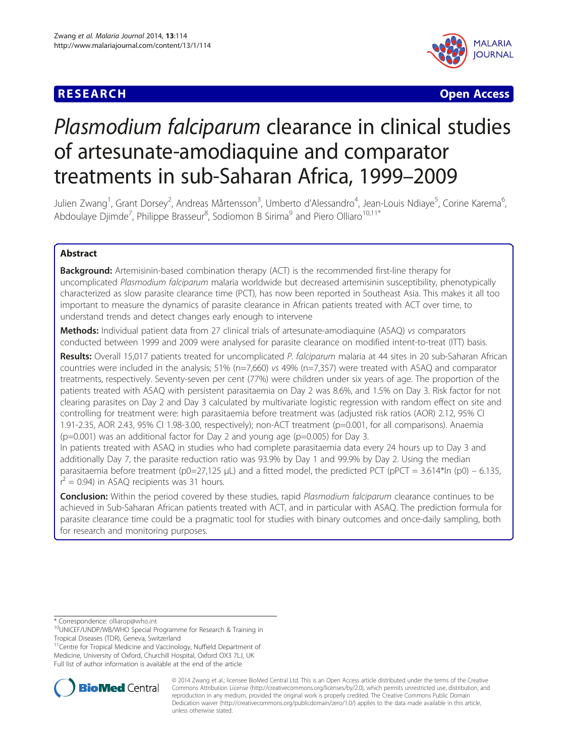# **RESEARCH CHEAR CHEAR CHEAR CHEAR CHEAR CHEAR CHEAR CHEAR CHEAR CHEAR CHEAR CHEAR CHEAR CHEAR CHEAR CHEAR CHEAR**



# Plasmodium falciparum clearance in clinical studies of artesunate-amodiaquine and comparator treatments in sub-Saharan Africa, 1999–2009

Julien Zwang<sup>1</sup>, Grant Dorsey<sup>2</sup>, Andreas Mårtensson<sup>3</sup>, Umberto d'Alessandro<sup>4</sup>, Jean-Louis Ndiaye<sup>5</sup>, Corine Karema<sup>6</sup> , Abdoulaye Djimde<sup>7</sup>, Philippe Brasseur<sup>8</sup>, Sodiomon B Sirima<sup>9</sup> and Piero Olliaro<sup>10,11\*</sup>

# Abstract

**Background:** Artemisinin-based combination therapy (ACT) is the recommended first-line therapy for uncomplicated Plasmodium falciparum malaria worldwide but decreased artemisinin susceptibility, phenotypically characterized as slow parasite clearance time (PCT), has now been reported in Southeast Asia. This makes it all too important to measure the dynamics of parasite clearance in African patients treated with ACT over time, to understand trends and detect changes early enough to intervene

Methods: Individual patient data from 27 clinical trials of artesunate-amodiaquine (ASAQ) vs comparators conducted between 1999 and 2009 were analysed for parasite clearance on modified intent-to-treat (ITT) basis.

Results: Overall 15,017 patients treated for uncomplicated P. falciparum malaria at 44 sites in 20 sub-Saharan African countries were included in the analysis; 51% (n=7,660) vs 49% (n=7,357) were treated with ASAQ and comparator treatments, respectively. Seventy-seven per cent (77%) were children under six years of age. The proportion of the patients treated with ASAQ with persistent parasitaemia on Day 2 was 8.6%, and 1.5% on Day 3. Risk factor for not clearing parasites on Day 2 and Day 3 calculated by multivariate logistic regression with random effect on site and controlling for treatment were: high parasitaemia before treatment was (adjusted risk ratios (AOR) 2.12, 95% CI 1.91-2.35, AOR 2.43, 95% CI 1.98-3.00, respectively); non-ACT treatment (p=0.001, for all comparisons). Anaemia (p=0.001) was an additional factor for Day 2 and young age (p=0.005) for Day 3.

In patients treated with ASAQ in studies who had complete parasitaemia data every 24 hours up to Day 3 and additionally Day 7, the parasite reduction ratio was 93.9% by Day 1 and 99.9% by Day 2. Using the median parasitaemia before treatment (p0=27,125 μL) and a fitted model, the predicted PCT (pPCT = 3.614\*ln (p0) – 6.135,  $r^2$  = 0.94) in ASAQ recipients was 31 hours.

**Conclusion:** Within the period covered by these studies, rapid Plasmodium falciparum clearance continues to be achieved in Sub-Saharan African patients treated with ACT, and in particular with ASAQ. The prediction formula for parasite clearance time could be a pragmatic tool for studies with binary outcomes and once-daily sampling, both for research and monitoring purposes.

<sup>11</sup>Centre for Tropical Medicine and Vaccinology, Nuffield Department of Medicine, University of Oxford, Churchill Hospital, Oxford OX3 7LJ, UK Full list of author information is available at the end of the article



© 2014 Zwang et al.; licensee BioMed Central Ltd. This is an Open Access article distributed under the terms of the Creative Commons Attribution License [\(http://creativecommons.org/licenses/by/2.0\)](http://creativecommons.org/licenses/by/2.0), which permits unrestricted use, distribution, and reproduction in any medium, provided the original work is properly credited. The Creative Commons Public Domain Dedication waiver [\(http://creativecommons.org/publicdomain/zero/1.0/](http://creativecommons.org/publicdomain/zero/1.0/)) applies to the data made available in this article, unless otherwise stated.

<sup>\*</sup> Correspondence: [olliarop@who.int](mailto:olliarop@who.int)<br><sup>10</sup>UNICEF/UNDP/WB/WHO Special Programme for Research & Training in Tropical Diseases (TDR), Geneva, Switzerland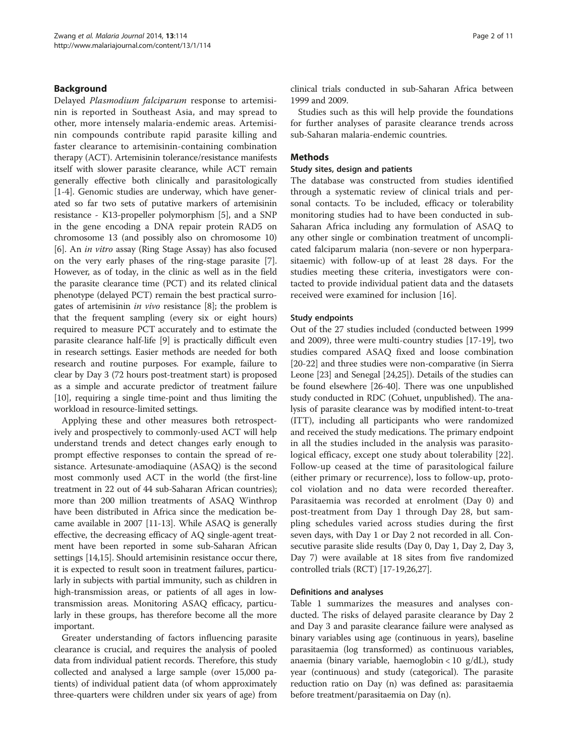#### Background

Delayed Plasmodium falciparum response to artemisinin is reported in Southeast Asia, and may spread to other, more intensely malaria-endemic areas. Artemisinin compounds contribute rapid parasite killing and faster clearance to artemisinin-containing combination therapy (ACT). Artemisinin tolerance/resistance manifests itself with slower parasite clearance, while ACT remain generally effective both clinically and parasitologically [[1-4\]](#page-9-0). Genomic studies are underway, which have generated so far two sets of putative markers of artemisinin resistance - K13-propeller polymorphism [[5\]](#page-9-0), and a SNP in the gene encoding a DNA repair protein RAD5 on chromosome 13 (and possibly also on chromosome 10) [[6\]](#page-9-0). An in vitro assay (Ring Stage Assay) has also focused on the very early phases of the ring-stage parasite [[7](#page-9-0)]. However, as of today, in the clinic as well as in the field the parasite clearance time (PCT) and its related clinical phenotype (delayed PCT) remain the best practical surrogates of artemisinin in vivo resistance [\[8](#page-9-0)]; the problem is that the frequent sampling (every six or eight hours) required to measure PCT accurately and to estimate the parasite clearance half-life [\[9](#page-9-0)] is practically difficult even in research settings. Easier methods are needed for both research and routine purposes. For example, failure to clear by Day 3 (72 hours post-treatment start) is proposed as a simple and accurate predictor of treatment failure [[10](#page-9-0)], requiring a single time-point and thus limiting the workload in resource-limited settings.

Applying these and other measures both retrospectively and prospectively to commonly-used ACT will help understand trends and detect changes early enough to prompt effective responses to contain the spread of resistance. Artesunate-amodiaquine (ASAQ) is the second most commonly used ACT in the world (the first-line treatment in 22 out of 44 sub-Saharan African countries); more than 200 million treatments of ASAQ Winthrop have been distributed in Africa since the medication became available in 2007 [\[11-13\]](#page-9-0). While ASAQ is generally effective, the decreasing efficacy of AQ single-agent treatment have been reported in some sub-Saharan African settings [[14](#page-9-0),[15](#page-9-0)]. Should artemisinin resistance occur there, it is expected to result soon in treatment failures, particularly in subjects with partial immunity, such as children in high-transmission areas, or patients of all ages in lowtransmission areas. Monitoring ASAQ efficacy, particularly in these groups, has therefore become all the more important.

Greater understanding of factors influencing parasite clearance is crucial, and requires the analysis of pooled data from individual patient records. Therefore, this study collected and analysed a large sample (over 15,000 patients) of individual patient data (of whom approximately three-quarters were children under six years of age) from clinical trials conducted in sub-Saharan Africa between 1999 and 2009.

Studies such as this will help provide the foundations for further analyses of parasite clearance trends across sub-Saharan malaria-endemic countries.

### Methods

#### Study sites, design and patients

The database was constructed from studies identified through a systematic review of clinical trials and personal contacts. To be included, efficacy or tolerability monitoring studies had to have been conducted in sub-Saharan Africa including any formulation of ASAQ to any other single or combination treatment of uncomplicated falciparum malaria (non-severe or non hyperparasitaemic) with follow-up of at least 28 days. For the studies meeting these criteria, investigators were contacted to provide individual patient data and the datasets received were examined for inclusion [[16\]](#page-9-0).

#### Study endpoints

Out of the 27 studies included (conducted between 1999 and 2009), three were multi-country studies [[17-19\]](#page-9-0), two studies compared ASAQ fixed and loose combination [[20](#page-9-0)-[22\]](#page-9-0) and three studies were non-comparative (in Sierra Leone [\[23\]](#page-9-0) and Senegal [[24](#page-9-0),[25](#page-9-0)]). Details of the studies can be found elsewhere [[26](#page-9-0)[-40\]](#page-10-0). There was one unpublished study conducted in RDC (Cohuet, unpublished). The analysis of parasite clearance was by modified intent-to-treat (ITT), including all participants who were randomized and received the study medications. The primary endpoint in all the studies included in the analysis was parasitological efficacy, except one study about tolerability [\[22](#page-9-0)]. Follow-up ceased at the time of parasitological failure (either primary or recurrence), loss to follow-up, protocol violation and no data were recorded thereafter. Parasitaemia was recorded at enrolment (Day 0) and post-treatment from Day 1 through Day 28, but sampling schedules varied across studies during the first seven days, with Day 1 or Day 2 not recorded in all. Consecutive parasite slide results (Day 0, Day 1, Day 2, Day 3, Day 7) were available at 18 sites from five randomized controlled trials (RCT) [\[17](#page-9-0)-[19,26,27\]](#page-9-0).

#### Definitions and analyses

Table [1](#page-2-0) summarizes the measures and analyses conducted. The risks of delayed parasite clearance by Day 2 and Day 3 and parasite clearance failure were analysed as binary variables using age (continuous in years), baseline parasitaemia (log transformed) as continuous variables, anaemia (binary variable, haemoglobin < 10 g/dL), study year (continuous) and study (categorical). The parasite reduction ratio on Day (n) was defined as: parasitaemia before treatment/parasitaemia on Day (n).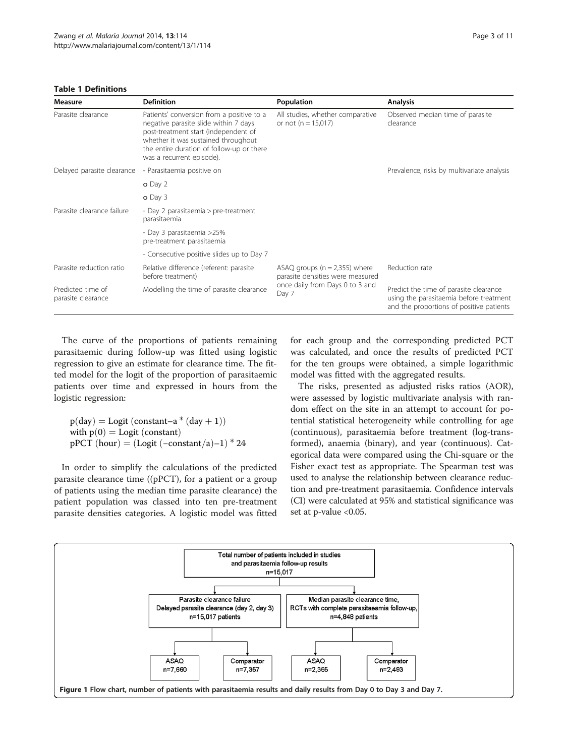#### <span id="page-2-0"></span>Table 1 Definitions

| Measure                                 | <b>Definition</b>                                                                                                                                                                                                                           | Population                                                  | <b>Analysis</b>                                                                                                               |  |  |
|-----------------------------------------|---------------------------------------------------------------------------------------------------------------------------------------------------------------------------------------------------------------------------------------------|-------------------------------------------------------------|-------------------------------------------------------------------------------------------------------------------------------|--|--|
| Parasite clearance                      | Patients' conversion from a positive to a<br>negative parasite slide within 7 days<br>post-treatment start (independent of<br>whether it was sustained throughout<br>the entire duration of follow-up or there<br>was a recurrent episode). | All studies, whether comparative<br>or not ( $n = 15,017$ ) | Observed median time of parasite<br>clearance                                                                                 |  |  |
| Delayed parasite clearance              | - Parasitaemia positive on                                                                                                                                                                                                                  |                                                             | Prevalence, risks by multivariate analysis                                                                                    |  |  |
|                                         | $o$ Day 2                                                                                                                                                                                                                                   |                                                             |                                                                                                                               |  |  |
|                                         | $o$ Day 3                                                                                                                                                                                                                                   |                                                             |                                                                                                                               |  |  |
| Parasite clearance failure              | - Day 2 parasitaemia > pre-treatment<br>parasitaemia                                                                                                                                                                                        |                                                             |                                                                                                                               |  |  |
|                                         | - Day 3 parasitaemia > 25%<br>pre-treatment parasitaemia                                                                                                                                                                                    |                                                             |                                                                                                                               |  |  |
|                                         | - Consecutive positive slides up to Day 7                                                                                                                                                                                                   |                                                             |                                                                                                                               |  |  |
| Parasite reduction ratio                | Relative difference (referent: parasite<br>before treatment)                                                                                                                                                                                |                                                             | Reduction rate                                                                                                                |  |  |
| Predicted time of<br>parasite clearance | Modelling the time of parasite clearance                                                                                                                                                                                                    | once daily from Days 0 to 3 and<br>Day 7                    | Predict the time of parasite clearance<br>using the parasitaemia before treatment<br>and the proportions of positive patients |  |  |

The curve of the proportions of patients remaining parasitaemic during follow-up was fitted using logistic regression to give an estimate for clearance time. The fitted model for the logit of the proportion of parasitaemic patients over time and expressed in hours from the logistic regression:

 $p(\text{day}) = \text{Logit}(\text{constant}-a^*(\text{day}+1))$ with  $p(0) =$  Logit (constant)  $pPCT (hour) = (Logit (-constant/a) - 1) * 24$ 

In order to simplify the calculations of the predicted parasite clearance time ((pPCT), for a patient or a group of patients using the median time parasite clearance) the patient population was classed into ten pre-treatment parasite densities categories. A logistic model was fitted for each group and the corresponding predicted PCT was calculated, and once the results of predicted PCT for the ten groups were obtained, a simple logarithmic model was fitted with the aggregated results.

The risks, presented as adjusted risks ratios (AOR), were assessed by logistic multivariate analysis with random effect on the site in an attempt to account for potential statistical heterogeneity while controlling for age (continuous), parasitaemia before treatment (log-transformed), anaemia (binary), and year (continuous). Categorical data were compared using the Chi-square or the Fisher exact test as appropriate. The Spearman test was used to analyse the relationship between clearance reduction and pre-treatment parasitaemia. Confidence intervals (CI) were calculated at 95% and statistical significance was set at p-value <0.05.

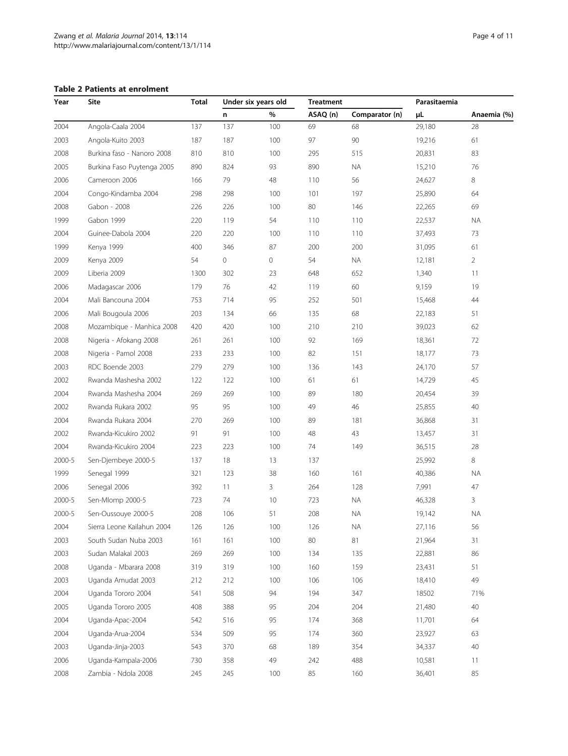# <span id="page-3-0"></span>Table 2 Patients at enrolment

| Year   | Site                       | <b>Total</b> | Under six years old |     | <b>Treatment</b> |                | Parasitaemia |                |
|--------|----------------------------|--------------|---------------------|-----|------------------|----------------|--------------|----------------|
|        |                            |              | n                   | %   | ASAQ (n)         | Comparator (n) | μL           | Anaemia (%)    |
| 2004   | Angola-Caala 2004          | 137          | 137                 | 100 | 69               | 68             | 29,180       | 28             |
| 2003   | Angola-Kuito 2003          | 187          | 187                 | 100 | 97               | 90             | 19,216       | 61             |
| 2008   | Burkina faso - Nanoro 2008 | 810          | 810                 | 100 | 295              | 515            | 20,831       | 83             |
| 2005   | Burkina Faso Puytenga 2005 | 890          | 824                 | 93  | 890              | ΝA             | 15,210       | 76             |
| 2006   | Cameroon 2006              | 166          | 79                  | 48  | 110              | 56             | 24,627       | 8              |
| 2004   | Congo-Kindamba 2004        | 298          | 298                 | 100 | 101              | 197            | 25,890       | 64             |
| 2008   | Gabon - 2008               | 226          | 226                 | 100 | 80               | 146            | 22,265       | 69             |
| 1999   | Gabon 1999                 | 220          | 119                 | 54  | 110              | 110            | 22,537       | <b>NA</b>      |
| 2004   | Guinee-Dabola 2004         | 220          | 220                 | 100 | 110              | 110            | 37,493       | 73             |
| 1999   | Kenya 1999                 | 400          | 346                 | 87  | 200              | 200            | 31,095       | 61             |
| 2009   | Kenya 2009                 | 54           | 0                   | 0   | 54               | <b>NA</b>      | 12,181       | $\overline{2}$ |
| 2009   | Liberia 2009               | 1300         | 302                 | 23  | 648              | 652            | 1,340        | 11             |
| 2006   | Madagascar 2006            | 179          | 76                  | 42  | 119              | 60             | 9,159        | 19             |
| 2004   | Mali Bancouna 2004         | 753          | 714                 | 95  | 252              | 501            | 15,468       | 44             |
| 2006   | Mali Bougoula 2006         | 203          | 134                 | 66  | 135              | 68             | 22,183       | 51             |
| 2008   | Mozambique - Manhica 2008  | 420          | 420                 | 100 | 210              | 210            | 39,023       | 62             |
| 2008   | Nigeria - Afokang 2008     | 261          | 261                 | 100 | 92               | 169            | 18,361       | 72             |
| 2008   | Nigeria - Pamol 2008       | 233          | 233                 | 100 | 82               | 151            | 18,177       | 73             |
| 2003   | RDC Boende 2003            | 279          | 279                 | 100 | 136              | 143            | 24,170       | 57             |
| 2002   | Rwanda Mashesha 2002       | 122          | 122                 | 100 | 61               | 61             | 14,729       | 45             |
| 2004   | Rwanda Mashesha 2004       | 269          | 269                 | 100 | 89               | 180            | 20,454       | 39             |
| 2002   | Rwanda Rukara 2002         | 95           | 95                  | 100 | 49               | 46             | 25,855       | 40             |
| 2004   | Rwanda Rukara 2004         | 270          | 269                 | 100 | 89               | 181            | 36,868       | 31             |
| 2002   | Rwanda-Kicukiro 2002       | 91           | 91                  | 100 | 48               | 43             | 13,457       | 31             |
| 2004   | Rwanda-Kicukiro 2004       | 223          | 223                 | 100 | 74               | 149            | 36,515       | 28             |
| 2000-5 | Sen-Djembeye 2000-5        | 137          | 18                  | 13  | 137              |                | 25,992       | 8              |
| 1999   | Senegal 1999               | 321          | 123                 | 38  | 160              | 161            | 40,386       | <b>NA</b>      |
| 2006   | Senegal 2006               | 392          | 11                  | 3   | 264              | 128            | 7,991        | 47             |
| 2000-5 | Sen-Mlomp 2000-5           | 723          | 74                  | 10  | 723              | <b>NA</b>      | 46,328       | 3              |
| 2000-5 | Sen-Oussouye 2000-5        | 208          | 106                 | 51  | 208              | <b>NA</b>      | 19,142       | <b>NA</b>      |
| 2004   | Sierra Leone Kailahun 2004 | 126          | 126                 | 100 | 126              | NA             | 27,116       | 56             |
| 2003   | South Sudan Nuba 2003      | 161          | 161                 | 100 | 80               | 81             | 21,964       | 31             |
| 2003   | Sudan Malakal 2003         | 269          | 269                 | 100 | 134              | 135            | 22,881       | 86             |
| 2008   | Uganda - Mbarara 2008      | 319          | 319                 | 100 | 160              | 159            | 23,431       | 51             |
| 2003   | Uganda Amudat 2003         | 212          | 212                 | 100 | 106              | 106            | 18,410       | 49             |
| 2004   | Uganda Tororo 2004         | 541          | 508                 | 94  | 194              | 347            | 18502        | 71%            |
| 2005   | Uganda Tororo 2005         | 408          | 388                 | 95  | 204              | 204            | 21,480       | $40\,$         |
| 2004   | Uganda-Apac-2004           | 542          | 516                 | 95  | 174              | 368            | 11,701       | 64             |
| 2004   | Uganda-Arua-2004           | 534          | 509                 | 95  | 174              | 360            | 23,927       | 63             |
| 2003   | Uganda-Jinja-2003          | 543          | 370                 | 68  | 189              | 354            | 34,337       | 40             |
| 2006   | Uganda-Kampala-2006        | 730          | 358                 | 49  | 242              | 488            | 10,581       | 11             |
| 2008   | Zambia - Ndola 2008        | 245          | 245                 | 100 | 85               | 160            | 36,401       | 85             |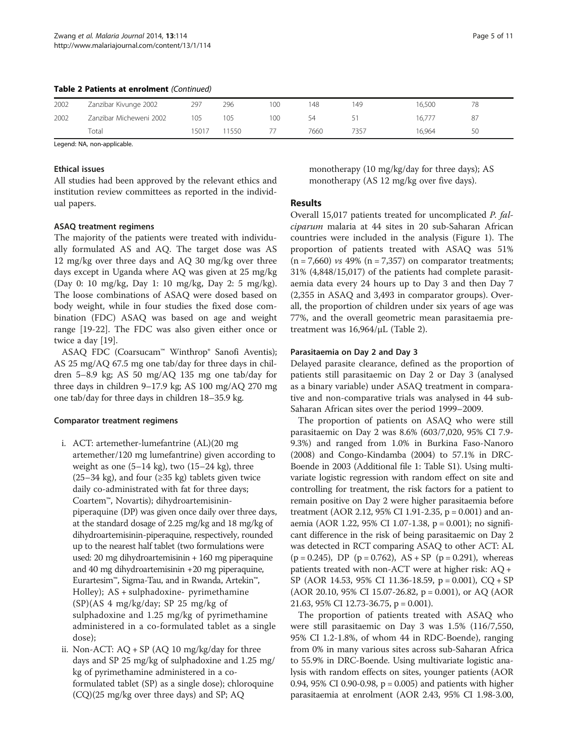Table 2 Patients at enrolment (Continued)

| 2002 | Zanzibar Kivunge 2002   | 297                 | 296  | 100 | 148  | 149  | 16.500 |    |
|------|-------------------------|---------------------|------|-----|------|------|--------|----|
| 2002 | Zanzibar Micheweni 2002 | 105                 | 105  | 100 |      |      |        | 87 |
|      | Total                   | $1501$ <sup>-</sup> | 1550 |     | 7660 | 7357 | 16.964 | 50 |

Legend: NA, non-applicable.

#### Ethical issues

All studies had been approved by the relevant ethics and institution review committees as reported in the individual papers.

# ASAQ treatment regimens

The majority of the patients were treated with individually formulated AS and AQ. The target dose was AS 12 mg/kg over three days and AQ 30 mg/kg over three days except in Uganda where AQ was given at 25 mg/kg (Day 0: 10 mg/kg, Day 1: 10 mg/kg, Day 2: 5 mg/kg). The loose combinations of ASAQ were dosed based on body weight, while in four studies the fixed dose combination (FDC) ASAQ was based on age and weight range [[19-22](#page-9-0)]. The FDC was also given either once or twice a day [\[19](#page-9-0)].

ASAQ FDC (Coarsucam™ Winthrop® Sanofi Aventis); AS 25 mg/AQ 67.5 mg one tab/day for three days in children 5–8.9 kg; AS 50 mg/AQ 135 mg one tab/day for three days in children 9–17.9 kg; AS 100 mg/AQ 270 mg one tab/day for three days in children 18–35.9 kg.

#### Comparator treatment regimens

- i. ACT: artemether-lumefantrine (AL)(20 mg artemether/120 mg lumefantrine) given according to weight as one  $(5-14 \text{ kg})$ , two  $(15-24 \text{ kg})$ , three  $(25-34 \text{ kg})$ , and four ( $\geq 35 \text{ kg}$ ) tablets given twice daily co-administrated with fat for three days; Coartem™, Novartis); dihydroartemisininpiperaquine (DP) was given once daily over three days, at the standard dosage of 2.25 mg/kg and 18 mg/kg of dihydroartemisinin-piperaquine, respectively, rounded up to the nearest half tablet (two formulations were used: 20 mg dihydroartemisinin + 160 mg piperaquine and 40 mg dihydroartemisinin +20 mg piperaquine, Eurartesim™, Sigma-Tau, and in Rwanda, Artekin™, Holley); AS + sulphadoxine- pyrimethamine (SP)(AS 4 mg/kg/day; SP 25 mg/kg of sulphadoxine and 1.25 mg/kg of pyrimethamine administered in a co-formulated tablet as a single dose);
- ii. Non-ACT:  $AQ + SP$  (AQ 10 mg/kg/day for three days and SP 25 mg/kg of sulphadoxine and 1.25 mg/ kg of pyrimethamine administered in a coformulated tablet (SP) as a single dose); chloroquine (CQ)(25 mg/kg over three days) and SP; AQ

monotherapy (10 mg/kg/day for three days); AS monotherapy (AS 12 mg/kg over five days).

# Results

Overall 15,017 patients treated for uncomplicated P. falciparum malaria at 44 sites in 20 sub-Saharan African countries were included in the analysis (Figure [1\)](#page-2-0). The proportion of patients treated with ASAQ was 51%  $(n = 7,660)$  vs 49%  $(n = 7,357)$  on comparator treatments; 31% (4,848/15,017) of the patients had complete parasitaemia data every 24 hours up to Day 3 and then Day 7 (2,355 in ASAQ and 3,493 in comparator groups). Overall, the proportion of children under six years of age was 77%, and the overall geometric mean parasitaemia pretreatment was 16,964/μL (Table [2\)](#page-3-0).

# Parasitaemia on Day 2 and Day 3

Delayed parasite clearance, defined as the proportion of patients still parasitaemic on Day 2 or Day 3 (analysed as a binary variable) under ASAQ treatment in comparative and non-comparative trials was analysed in 44 sub-Saharan African sites over the period 1999–2009.

The proportion of patients on ASAQ who were still parasitaemic on Day 2 was 8.6% (603/7,020, 95% CI 7.9- 9.3%) and ranged from 1.0% in Burkina Faso-Nanoro (2008) and Congo-Kindamba (2004) to 57.1% in DRC-Boende in 2003 (Additional file [1](#page-8-0): Table S1). Using multivariate logistic regression with random effect on site and controlling for treatment, the risk factors for a patient to remain positive on Day 2 were higher parasitaemia before treatment (AOR 2.12, 95% CI 1.91-2.35, p = 0.001) and anaemia (AOR 1.22, 95% CI 1.07-1.38, p = 0.001); no significant difference in the risk of being parasitaemic on Day 2 was detected in RCT comparing ASAQ to other ACT: AL  $(p = 0.245)$ , DP  $(p = 0.762)$ , AS + SP  $(p = 0.291)$ , whereas patients treated with non-ACT were at higher risk: AQ + SP (AOR 14.53, 95% CI 11.36-18.59, p = 0.001), CQ + SP (AOR 20.10, 95% CI 15.07-26.82, p = 0.001), or AQ (AOR 21.63, 95% CI 12.73-36.75, p = 0.001).

The proportion of patients treated with ASAQ who were still parasitaemic on Day 3 was 1.5% (116/7,550, 95% CI 1.2-1.8%, of whom 44 in RDC-Boende), ranging from 0% in many various sites across sub-Saharan Africa to 55.9% in DRC-Boende. Using multivariate logistic analysis with random effects on sites, younger patients (AOR 0.94, 95% CI 0.90-0.98, p = 0.005) and patients with higher parasitaemia at enrolment (AOR 2.43, 95% CI 1.98-3.00,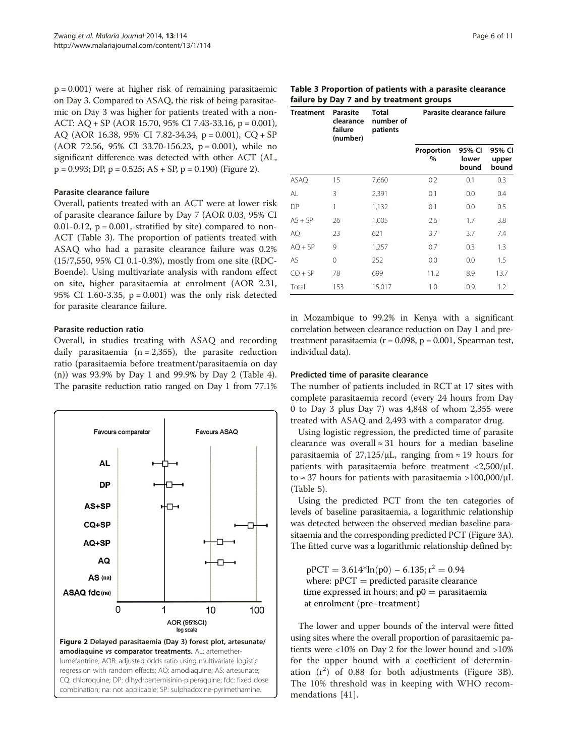$p = 0.001$ ) were at higher risk of remaining parasitaemic on Day 3. Compared to ASAQ, the risk of being parasitaemic on Day 3 was higher for patients treated with a non-ACT: AQ + SP (AOR 15.70, 95% CI 7.43-33.16, p = 0.001), AQ (AOR 16.38, 95% CI 7.82-34.34, p = 0.001), CQ + SP (AOR 72.56, 95% CI 33.70-156.23, p = 0.001), while no significant difference was detected with other ACT (AL,  $p = 0.993$ ; DP,  $p = 0.525$ ; AS + SP,  $p = 0.190$ ) (Figure 2).

#### Parasite clearance failure

Overall, patients treated with an ACT were at lower risk of parasite clearance failure by Day 7 (AOR 0.03, 95% CI 0.01-0.12,  $p = 0.001$ , stratified by site) compared to non-ACT (Table 3). The proportion of patients treated with ASAQ who had a parasite clearance failure was 0.2% (15/7,550, 95% CI 0.1-0.3%), mostly from one site (RDC-Boende). Using multivariate analysis with random effect on site, higher parasitaemia at enrolment (AOR 2.31, 95% CI 1.60-3.35, p = 0.001) was the only risk detected for parasite clearance failure.

#### Parasite reduction ratio

Overall, in studies treating with ASAQ and recording daily parasitaemia ( $n = 2,355$ ), the parasite reduction ratio (parasitaemia before treatment/parasitaemia on day (n)) was 93.9% by Day 1 and 99.9% by Day 2 (Table [4](#page-6-0)). The parasite reduction ratio ranged on Day 1 from 77.1%



| Table 3 Proportion of patients with a parasite clearance |  |
|----------------------------------------------------------|--|
| failure by Day 7 and by treatment groups                 |  |

| <b>Treatment</b> | Parasite<br>clearance<br>failure<br>(number) | <b>Total</b><br>number of<br>patients | Parasite clearance failure |                          |                          |  |  |
|------------------|----------------------------------------------|---------------------------------------|----------------------------|--------------------------|--------------------------|--|--|
|                  |                                              |                                       | Proportion<br>%            | 95% CI<br>lower<br>bound | 95% CI<br>upper<br>bound |  |  |
| <b>ASAQ</b>      | 15                                           | 7,660                                 | 0.2                        | 0.1                      | 0.3                      |  |  |
| AL               | 3                                            | 2,391                                 | 0.1                        | 0.0                      | 0.4                      |  |  |
| DP               | 1                                            | 1,132                                 | 0.1                        | 0.0                      | 0.5                      |  |  |
| $AS + SP$        | 26                                           | 1,005                                 | 2.6                        | 1.7                      | 3.8                      |  |  |
| AQ               | 23                                           | 621                                   | 3.7                        | 3.7                      | 7.4                      |  |  |
| $AQ + SP$        | 9                                            | 1,257                                 | 0.7                        | 0.3                      | 1.3                      |  |  |
| AS               | $\Omega$                                     | 252                                   | 0.0                        | 0.0                      | 1.5                      |  |  |
| $CQ + SP$        | 78                                           | 699                                   | 11.2                       | 8.9                      | 13.7                     |  |  |
| Total            | 153                                          | 15,017                                | 1.0                        | 0.9                      | 1.2                      |  |  |

in Mozambique to 99.2% in Kenya with a significant correlation between clearance reduction on Day 1 and pretreatment parasitaemia ( $r = 0.098$ ,  $p = 0.001$ , Spearman test, individual data).

#### Predicted time of parasite clearance

The number of patients included in RCT at 17 sites with complete parasitaemia record (every 24 hours from Day 0 to Day 3 plus Day 7) was 4,848 of whom 2,355 were treated with ASAQ and 2,493 with a comparator drug.

Using logistic regression, the predicted time of parasite clearance was overall  $\approx$  31 hours for a median baseline parasitaemia of  $27,125/\mu L$ , ranging from  $\approx 19$  hours for patients with parasitaemia before treatment <2,500/μL to  $\approx$  37 hours for patients with parasitaemia >100,000/ $\mu$ L (Table [5\)](#page-6-0).

Using the predicted PCT from the ten categories of levels of baseline parasitaemia, a logarithmic relationship was detected between the observed median baseline parasitaemia and the corresponding predicted PCT (Figure [3A](#page-7-0)). The fitted curve was a logarithmic relationship defined by:

 $pPCT = 3.614*ln(p0) - 6.135; r^2 = 0.94$ where:  $pPCT =$  predicted parasite clearance time expressed in hours; and  $p0 =$  parasitaemia at enrolment (pre-treatment)

The lower and upper bounds of the interval were fitted using sites where the overall proportion of parasitaemic patients were <10% on Day 2 for the lower bound and >10% for the upper bound with a coefficient of determination  $(r^2)$  of 0.88 for both adjustments (Figure [3](#page-7-0)B). The 10% threshold was in keeping with WHO recommendations [\[41](#page-10-0)].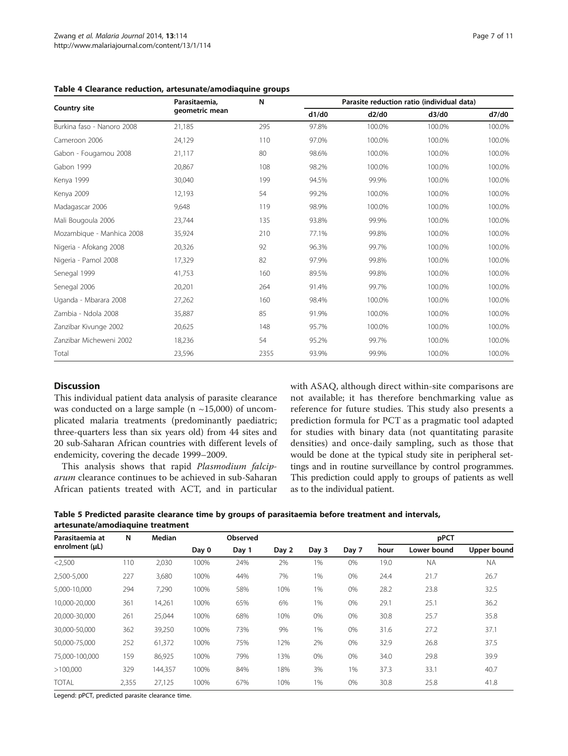|                            | Parasitaemia,  | N    | Parasite reduction ratio (individual data) |        |        |        |  |  |
|----------------------------|----------------|------|--------------------------------------------|--------|--------|--------|--|--|
| <b>Country site</b>        | geometric mean |      | d1/d0                                      | d2/d0  | d3/d0  | d7/d0  |  |  |
| Burkina faso - Nanoro 2008 | 21,185         | 295  | 97.8%                                      | 100.0% | 100.0% | 100.0% |  |  |
| Cameroon 2006              | 24,129         | 110  | 97.0%                                      | 100.0% | 100.0% | 100.0% |  |  |
| Gabon - Fougamou 2008      | 21.117         | 80   | 98.6%                                      | 100.0% | 100.0% | 100.0% |  |  |
| Gabon 1999                 | 20,867         | 108  | 98.2%                                      | 100.0% | 100.0% | 100.0% |  |  |
| Kenya 1999                 | 30,040         | 199  | 94.5%                                      | 99.9%  | 100.0% | 100.0% |  |  |
| Kenya 2009                 | 12,193         | 54   | 99.2%                                      | 100.0% | 100.0% | 100.0% |  |  |
| Madagascar 2006            | 9,648          | 119  | 98.9%                                      | 100.0% | 100.0% | 100.0% |  |  |
| Mali Bougoula 2006         | 23,744         | 135  | 93.8%                                      | 99.9%  | 100.0% | 100.0% |  |  |
| Mozambique - Manhica 2008  | 35,924         | 210  | 77.1%                                      | 99.8%  | 100.0% | 100.0% |  |  |
| Nigeria - Afokang 2008     | 20,326         | 92   | 96.3%                                      | 99.7%  | 100.0% | 100.0% |  |  |
| Nigeria - Pamol 2008       | 17,329         | 82   | 97.9%                                      | 99.8%  | 100.0% | 100.0% |  |  |
| Senegal 1999               | 41.753         | 160  | 89.5%                                      | 99.8%  | 100.0% | 100.0% |  |  |
| Senegal 2006               | 20,201         | 264  | 91.4%                                      | 99.7%  | 100.0% | 100.0% |  |  |
| Uganda - Mbarara 2008      | 27,262         | 160  | 98.4%                                      | 100.0% | 100.0% | 100.0% |  |  |
| Zambia - Ndola 2008        | 35,887         | 85   | 91.9%                                      | 100.0% | 100.0% | 100.0% |  |  |
| Zanzibar Kivunge 2002      | 20,625         | 148  | 95.7%                                      | 100.0% | 100.0% | 100.0% |  |  |
| Zanzibar Micheweni 2002    | 18,236         | 54   | 95.2%                                      | 99.7%  | 100.0% | 100.0% |  |  |
| Total                      | 23,596         | 2355 | 93.9%                                      | 99.9%  | 100.0% | 100.0% |  |  |

<span id="page-6-0"></span>Table 4 Clearance reduction, artesunate/amodiaquine groups

# **Discussion**

This individual patient data analysis of parasite clearance was conducted on a large sample (n  $\sim$ 15,000) of uncomplicated malaria treatments (predominantly paediatric; three-quarters less than six years old) from 44 sites and 20 sub-Saharan African countries with different levels of endemicity, covering the decade 1999–2009.

This analysis shows that rapid Plasmodium falciparum clearance continues to be achieved in sub-Saharan African patients treated with ACT, and in particular with ASAQ, although direct within-site comparisons are not available; it has therefore benchmarking value as reference for future studies. This study also presents a prediction formula for PCT as a pragmatic tool adapted for studies with binary data (not quantitating parasite densities) and once-daily sampling, such as those that would be done at the typical study site in peripheral settings and in routine surveillance by control programmes. This prediction could apply to groups of patients as well as to the individual patient.

Table 5 Predicted parasite clearance time by groups of parasitaemia before treatment and intervals, artesunate/amodiaquine treatment

| Parasitaemia at<br>enrolment (µL) | N     | Median  | <b>Observed</b> |       |       |       |       |      | pPCT        |             |  |
|-----------------------------------|-------|---------|-----------------|-------|-------|-------|-------|------|-------------|-------------|--|
|                                   |       |         | Day 0           | Day 1 | Day 2 | Day 3 | Day 7 | hour | Lower bound | Upper bound |  |
| < 2,500                           | 110   | 2,030   | 100%            | 24%   | 2%    | 1%    | 0%    | 19.0 | <b>NA</b>   | <b>NA</b>   |  |
| 2,500-5,000                       | 227   | 3,680   | 100%            | 44%   | 7%    | 1%    | 0%    | 24.4 | 21.7        | 26.7        |  |
| 5.000-10.000                      | 294   | 7,290   | 100%            | 58%   | 10%   | 1%    | 0%    | 28.2 | 23.8        | 32.5        |  |
| 10.000-20.000                     | 361   | 14,261  | 100%            | 65%   | 6%    | 1%    | 0%    | 29.1 | 25.1        | 36.2        |  |
| 20.000-30.000                     | 261   | 25.044  | 100%            | 68%   | 10%   | 0%    | 0%    | 30.8 | 25.7        | 35.8        |  |
| 30.000-50.000                     | 362   | 39,250  | 100%            | 73%   | 9%    | 1%    | 0%    | 31.6 | 27.2        | 37.1        |  |
| 50,000-75,000                     | 252   | 61,372  | 100%            | 75%   | 12%   | 2%    | 0%    | 32.9 | 26.8        | 37.5        |  |
| 75,000-100,000                    | 159   | 86,925  | 100%            | 79%   | 13%   | 0%    | 0%    | 34.0 | 29.8        | 39.9        |  |
| >100,000                          | 329   | 144,357 | 100%            | 84%   | 18%   | 3%    | 1%    | 37.3 | 33.1        | 40.7        |  |
| <b>TOTAL</b>                      | 2,355 | 27,125  | 100%            | 67%   | 10%   | 1%    | 0%    | 30.8 | 25.8        | 41.8        |  |

Legend: pPCT, predicted parasite clearance time.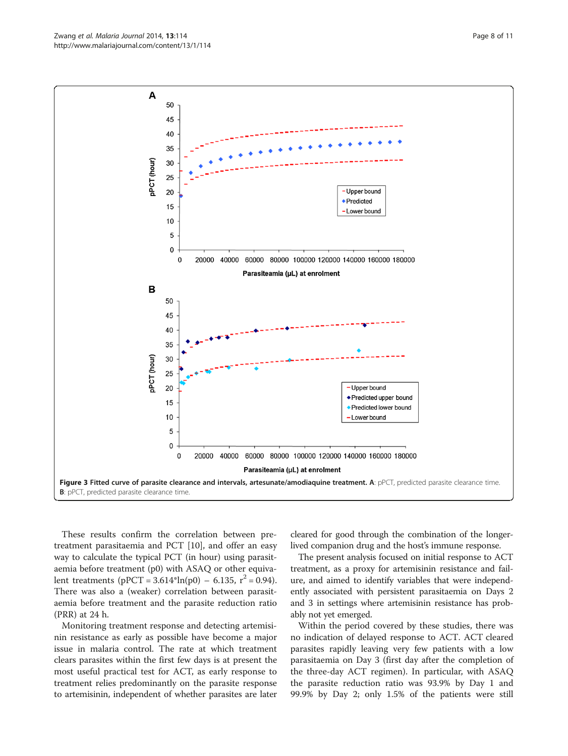These results confirm the correlation between pretreatment parasitaemia and PCT [[10\]](#page-9-0), and offer an easy way to calculate the typical PCT (in hour) using parasitaemia before treatment (p0) with ASAQ or other equivalent treatments (pPCT =  $3.614*ln(p0) - 6.135$ ,  $r^2 = 0.94$ ). There was also a (weaker) correlation between parasitaemia before treatment and the parasite reduction ratio (PRR) at 24 h.

Monitoring treatment response and detecting artemisinin resistance as early as possible have become a major issue in malaria control. The rate at which treatment clears parasites within the first few days is at present the most useful practical test for ACT, as early response to treatment relies predominantly on the parasite response to artemisinin, independent of whether parasites are later

cleared for good through the combination of the longerlived companion drug and the host's immune response.

The present analysis focused on initial response to ACT treatment, as a proxy for artemisinin resistance and failure, and aimed to identify variables that were independently associated with persistent parasitaemia on Days 2 and 3 in settings where artemisinin resistance has probably not yet emerged.

Within the period covered by these studies, there was no indication of delayed response to ACT. ACT cleared parasites rapidly leaving very few patients with a low parasitaemia on Day 3 (first day after the completion of the three-day ACT regimen). In particular, with ASAQ the parasite reduction ratio was 93.9% by Day 1 and 99.9% by Day 2; only 1.5% of the patients were still

<span id="page-7-0"></span>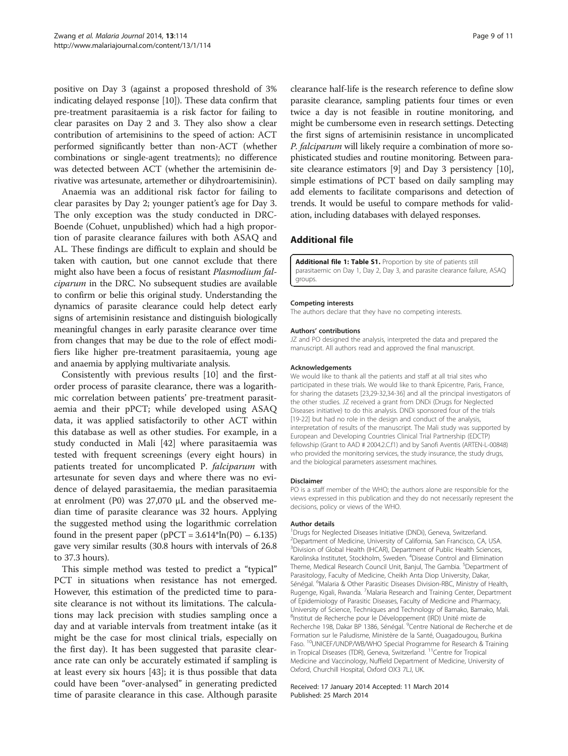<span id="page-8-0"></span>positive on Day 3 (against a proposed threshold of 3% indicating delayed response [\[10\]](#page-9-0)). These data confirm that pre-treatment parasitaemia is a risk factor for failing to clear parasites on Day 2 and 3. They also show a clear contribution of artemisinins to the speed of action: ACT performed significantly better than non-ACT (whether combinations or single-agent treatments); no difference was detected between ACT (whether the artemisinin derivative was artesunate, artemether or dihydroartemisinin).

Anaemia was an additional risk factor for failing to clear parasites by Day 2; younger patient's age for Day 3. The only exception was the study conducted in DRC-Boende (Cohuet, unpublished) which had a high proportion of parasite clearance failures with both ASAQ and AL. These findings are difficult to explain and should be taken with caution, but one cannot exclude that there might also have been a focus of resistant Plasmodium falciparum in the DRC. No subsequent studies are available to confirm or belie this original study. Understanding the dynamics of parasite clearance could help detect early signs of artemisinin resistance and distinguish biologically meaningful changes in early parasite clearance over time from changes that may be due to the role of effect modifiers like higher pre-treatment parasitaemia, young age and anaemia by applying multivariate analysis.

Consistently with previous results [\[10](#page-9-0)] and the firstorder process of parasite clearance, there was a logarithmic correlation between patients' pre-treatment parasitaemia and their pPCT; while developed using ASAQ data, it was applied satisfactorily to other ACT within this database as well as other studies. For example, in a study conducted in Mali [\[42](#page-10-0)] where parasitaemia was tested with frequent screenings (every eight hours) in patients treated for uncomplicated P. falciparum with artesunate for seven days and where there was no evidence of delayed parasitaemia, the median parasitaemia at enrolment (P0) was 27,070 μL and the observed median time of parasite clearance was 32 hours. Applying the suggested method using the logarithmic correlation found in the present paper ( $pPCT = 3.614*ln(P0) - 6.135$ ) gave very similar results (30.8 hours with intervals of 26.8 to 37.3 hours).

This simple method was tested to predict a "typical" PCT in situations when resistance has not emerged. However, this estimation of the predicted time to parasite clearance is not without its limitations. The calculations may lack precision with studies sampling once a day and at variable intervals from treatment intake (as it might be the case for most clinical trials, especially on the first day). It has been suggested that parasite clearance rate can only be accurately estimated if sampling is at least every six hours [\[43\]](#page-10-0); it is thus possible that data could have been "over-analysed" in generating predicted time of parasite clearance in this case. Although parasite

clearance half-life is the research reference to define slow parasite clearance, sampling patients four times or even twice a day is not feasible in routine monitoring, and might be cumbersome even in research settings. Detecting the first signs of artemisinin resistance in uncomplicated P. falciparum will likely require a combination of more sophisticated studies and routine monitoring. Between parasite clearance estimators [\[9](#page-9-0)] and Day 3 persistency [[10](#page-9-0)], simple estimations of PCT based on daily sampling may add elements to facilitate comparisons and detection of trends. It would be useful to compare methods for validation, including databases with delayed responses.

# Additional file

[Additional file 1: Table S1.](http://www.biomedcentral.com/content/supplementary/1475-2875-13-114-S1.docx) Proportion by site of patients still parasitaemic on Day 1, Day 2, Day 3, and parasite clearance failure, ASAQ groups.

#### Competing interests

The authors declare that they have no competing interests.

#### Authors' contributions

JZ and PO designed the analysis, interpreted the data and prepared the manuscript. All authors read and approved the final manuscript.

#### Acknowledgements

We would like to thank all the patients and staff at all trial sites who participated in these trials. We would like to thank Epicentre, Paris, France, for sharing the datasets [[23,29-](#page-9-0)[32,34](#page-10-0)-[36\]](#page-10-0) and all the principal investigators of the other studies. JZ received a grant from DNDi (Drugs for Neglected Diseases initiative) to do this analysis. DNDi sponsored four of the trials [[19-22](#page-9-0)] but had no role in the design and conduct of the analysis, interpretation of results of the manuscript. The Mali study was supported by European and Developing Countries Clinical Trial Partnership (EDCTP) fellowship (Grant to AAD # 2004.2.C.f1) and by Sanofi Aventis (ARTEN-L-00848) who provided the monitoring services, the study insurance, the study drugs, and the biological parameters assessment machines.

#### Disclaimer

PO is a staff member of the WHO; the authors alone are responsible for the views expressed in this publication and they do not necessarily represent the decisions, policy or views of the WHO.

#### Author details

<sup>1</sup> Drugs for Neglected Diseases Initiative (DNDi), Geneva, Switzerland 2 Department of Medicine, University of California, San Francisco, CA, USA. <sup>3</sup> Division of Global Health (IHCAR), Department of Public Health Sciences Karolinska Institutet, Stockholm, Sweden. <sup>4</sup>Disease Control and Elimination Theme, Medical Research Council Unit, Banjul, The Gambia. <sup>5</sup>Department of Parasitology, Faculty of Medicine, Cheikh Anta Diop University, Dakar, Sénégal. <sup>6</sup>Malaria & Other Parasitic Diseases Division-RBC, Ministry of Health, Rugenge, Kigali, Rwanda. <sup>7</sup>Malaria Research and Training Center, Department of Epidemiology of Parasitic Diseases, Faculty of Medicine and Pharmacy, University of Science, Techniques and Technology of Bamako, Bamako, Mali. 8 Institut de Recherche pour le Développement (IRD) Unité mixte de Recherche 198, Dakar BP 1386, Sénégal. <sup>9</sup>Centre National de Recherche et de Formation sur le Paludisme, Ministère de la Santé, Ouagadougou, Burkina Faso. <sup>10</sup>UNICEF/UNDP/WB/WHO Special Programme for Research & Training in Tropical Diseases (TDR), Geneva, Switzerland. <sup>11</sup>Centre for Tropical Medicine and Vaccinology, Nuffield Department of Medicine, University of Oxford, Churchill Hospital, Oxford OX3 7LJ, UK.

#### Received: 17 January 2014 Accepted: 11 March 2014 Published: 25 March 2014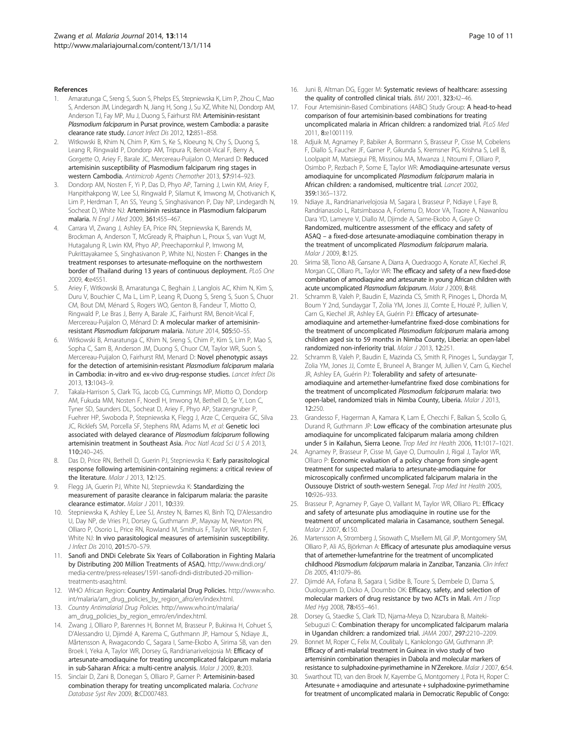#### <span id="page-9-0"></span>**References**

- 1. Amaratunga C, Sreng S, Suon S, Phelps ES, Stepniewska K, Lim P, Zhou C, Mao S, Anderson JM, Lindegardh N, Jiang H, Song J, Su XZ, White NJ, Dondorp AM, Anderson TJ, Fay MP, Mu J, Duong S, Fairhurst RM: Artemisinin-resistant Plasmodium falciparum in Pursat province, western Cambodia: a parasite clearance rate study. Lancet Infect Dis 2012, 12:851–858.
- 2. Witkowski B, Khim N, Chim P, Kim S, Ke S, Kloeung N, Chy S, Duong S, Leang R, Ringwald P, Dondorp AM, Tripura R, Benoit-Vical F, Berry A, Gorgette O, Ariey F, Barale JC, Mercereau-Puijalon O, Menard D: Reduced artemisinin susceptibility of Plasmodium falciparum ring stages in western Cambodia. Antimicrob Agents Chemother 2013, 57:914–923.
- 3. Dondorp AM, Nosten F, Yi P, Das D, Phyo AP, Tarning J, Lwin KM, Ariey F, Hanpithakpong W, Lee SJ, Ringwald P, Silamut K, Imwong M, Chotivanich K, Lim P, Herdman T, An SS, Yeung S, Singhasivanon P, Day NP, Lindegardh N, Socheat D, White NJ: Artemisinin resistance in Plasmodium falciparum malaria. N Engl J Med 2009, 361:455–467.
- Carrara VI, Zwang J, Ashley EA, Price RN, Stepniewska K, Barends M, Brockman A, Anderson T, McGready R, Phaiphun L, Proux S, van Vugt M, Hutagalung R, Lwin KM, Phyo AP, Preechapornkul P, Imwong M, Pukrittayakamee S, Singhasivanon P, White NJ, Nosten F: Changes in the treatment responses to artesunate-mefloquine on the northwestern border of Thailand during 13 years of continuous deployment. PLoS One 2009, 4:e4551.
- Ariey F, Witkowski B, Amaratunga C, Beghain J, Langlois AC, Khim N, Kim S, Duru V, Bouchier C, Ma L, Lim P, Leang R, Duong S, Sreng S, Suon S, Chuor CM, Bout DM, Ménard S, Rogers WO, Genton B, Fandeur T, Miotto O, Ringwald P, Le Bras J, Berry A, Barale JC, Fairhurst RM, Benoit-Vical F, Mercereau-Puijalon O, Ménard D: A molecular marker of artemisininresistant Plasmodium falciparum malaria. Nature 2014, 505:50–55.
- 6. Witkowski B, Amaratunga C, Khim N, Sreng S, Chim P, Kim S, Lim P, Mao S, Sopha C, Sam B, Anderson JM, Duong S, Chuor CM, Taylor WR, Suon S, Mercereau-Puijalon O, Fairhurst RM, Menard D: Novel phenotypic assays for the detection of artemisinin-resistant Plasmodium falciparum malaria in Cambodia: in-vitro and ex-vivo drug-response studies. Lancet Infect Dis 2013, 13:1043–9.
- Takala-Harrison S, Clark TG, Jacob CG, Cummings MP, Miotto O, Dondorp AM, Fukuda MM, Nosten F, Noedl H, Imwong M, Bethell D, Se Y, Lon C, Tyner SD, Saunders DL, Socheat D, Ariey F, Phyo AP, Starzengruber P, Fuehrer HP, Swoboda P, Stepniewska K, Flegg J, Arze C, Cerqueira GC, Silva JC, Ricklefs SM, Porcella SF, Stephens RM, Adams M, et al: Genetic loci associated with delayed clearance of Plasmodium falciparum following artemisinin treatment in Southeast Asia. Proc Natl Acad Sci U S A 2013, 110:240–245.
- Das D, Price RN, Bethell D, Guerin PJ, Stepniewska K: Early parasitological response following artemisinin-containing regimens: a critical review of the literature. Malar J 2013, 12:125.
- 9. Flegg JA, Guerin PJ, White NJ, Stepniewska K: Standardizing the measurement of parasite clearance in falciparum malaria: the parasite clearance estimator. Malar J 2011, 10:339.
- 10. Stepniewska K, Ashley E, Lee SJ, Anstey N, Barnes KI, Binh TQ, D'Alessandro U, Day NP, de Vries PJ, Dorsey G, Guthmann JP, Mayxay M, Newton PN, Olliaro P, Osorio L, Price RN, Rowland M, Smithuis F, Taylor WR, Nosten F, White NJ: In vivo parasitological measures of artemisinin susceptibility. J Infect Dis 2010, 201:570–579.
- 11. Sanofi and DNDi Celebrate Six Years of Collaboration in Fighting Malaria by Distributing 200 Million Treatments of ASAQ. [http://www.dndi.org/](http://www.dndi.org/media-centre/press-releases/1591-sanofi-dndi-distributed-20-million-treatments-asaq.html) [media-centre/press-releases/1591-sanofi-dndi-distributed-20-million](http://www.dndi.org/media-centre/press-releases/1591-sanofi-dndi-distributed-20-million-treatments-asaq.html)[treatments-asaq.html.](http://www.dndi.org/media-centre/press-releases/1591-sanofi-dndi-distributed-20-million-treatments-asaq.html)
- 12. WHO African Region: Country Antimalarial Drug Policies. [http://www.who.](http://www.who.int/malaria/am_drug_policies_by_region_afro/en/index.html) [int/malaria/am\\_drug\\_policies\\_by\\_region\\_afro/en/index.html](http://www.who.int/malaria/am_drug_policies_by_region_afro/en/index.html).
- 13. Country Antimalarial Drug Policies. [http://www.who.int/malaria/](http://www.who.int/malaria/am_drug_policies_by_region_emro/en/index.html) [am\\_drug\\_policies\\_by\\_region\\_emro/en/index.html.](http://www.who.int/malaria/am_drug_policies_by_region_emro/en/index.html)
- 14. Zwang J, Olliaro P, Barennes H, Bonnet M, Brasseur P, Bukirwa H, Cohuet S, D'Alessandro U, Djimdé A, Karema C, Guthmann JP, Hamour S, Ndiaye JL, Mårtensson A, Rwagacondo C, Sagara I, Same-Ekobo A, Sirima SB, van den Broek I, Yeka A, Taylor WR, Dorsey G, Randrianarivelojosia M: Efficacy of artesunate-amodiaquine for treating uncomplicated falciparum malaria in sub-Saharan Africa: a multi-centre analysis. Malar J 2009, 8:203.
- 15. Sinclair D, Zani B, Donegan S, Olliaro P, Garner P: Artemisinin-based combination therapy for treating uncomplicated malaria. Cochrane Database Syst Rev 2009, 8:CD007483.
- 16. Juni B, Altman DG, Egger M: Systematic reviews of healthcare: assessing the quality of controlled clinical trials. BMJ 2001, 323:42–46.
- 17. Four Artemisinin-Based Combinations (4ABC) Study Group: A head-to-head comparison of four artemisinin-based combinations for treating uncomplicated malaria in African children: a randomized trial. PLoS Med 2011, 8:e1001119.
- 18. Adjuik M, Agnamey P, Babiker A, Borrmann S, Brasseur P, Cisse M, Cobelens F, Diallo S, Faucher JF, Garner P, Gikunda S, Kremsner PG, Krishna S, Lell B, Loolpapit M, Matsiegui PB, Missinou MA, Mwanza J, Ntoumi F, Olliaro P, Osimbo P, Rezbach P, Some E, Taylor WR: Amodiaquine-artesunate versus amodiaquine for uncomplicated Plasmodium falciparum malaria in African children: a randomised, multicentre trial, Lancet 2002, 359:1365–1372.
- 19. Ndiaye JL, Randrianarivelojosia M, Sagara I, Brasseur P, Ndiaye I, Faye B, Randrianasolo L, Ratsimbasoa A, Forlemu D, Moor VA, Traore A, Niawanlou Dara YD, Lameyre V, Diallo M, Djimde A, Same-Ekobo A, Gaye O: Randomized, multicentre assessment of the efficacy and safety of ASAQ – a fixed-dose artesunate-amodiaquine combination therapy in the treatment of uncomplicated Plasmodium falciparum malaria. Malar J 2009, 8:125.
- 20. Sirima SB, Tiono AB, Gansane A, Diarra A, Ouedraogo A, Konate AT, Kiechel JR, Morgan CC, Olliaro PL, Taylor WR: The efficacy and safety of a new fixed-dose combination of amodiaquine and artesunate in young African children with acute uncomplicated Plasmodium falciparum. Malar J 2009, 8:48.
- 21. Schramm B, Valeh P, Baudin E, Mazinda CS, Smith R, Pinoges L, Dhorda M, Boum Y 2nd, Sundaygar T, Zolia YM, Jones JJ, Comte E, Houzé P, Jullien V, Carn G, Kiechel JR, Ashley EA, Guérin PJ: Efficacy of artesunateamodiaquine and artemether-lumefantrine fixed-dose combinations for the treatment of uncomplicated Plasmodium falciparum malaria among children aged six to 59 months in Nimba County, Liberia: an open-label randomized non-inferiority trial. Malar J 2013, 12:251.
- 22. Schramm B, Valeh P, Baudin E, Mazinda CS, Smith R, Pinoges L, Sundaygar T, Zolia YM, Jones JJ, Comte E, Bruneel A, Branger M, Jullien V, Carn G, Kiechel JR, Ashley EA, Guérin PJ: Tolerability and safety of artesunateamodiaquine and artemether-lumefantrine fixed dose combinations for the treatment of uncomplicated Plasmodium falciparum malaria: two open-label, randomized trials in Nimba County, Liberia. Malar J 2013, 12:250.
- 23. Grandesso F, Hagerman A, Kamara K, Lam E, Checchi F, Balkan S, Scollo G, Durand R, Guthmann JP: Low efficacy of the combination artesunate plus amodiaquine for uncomplicated falciparum malaria among children under 5 in Kailahun, Sierra Leone. Trop Med Int Health 2006, 11:1017–1021.
- 24. Agnamey P, Brasseur P, Cisse M, Gaye O, Dumoulin J, Rigal J, Taylor WR, Olliaro P: Economic evaluation of a policy change from single-agent treatment for suspected malaria to artesunate-amodiaquine for microscopically confirmed uncomplicated falciparum malaria in the Oussouye District of south-western Senegal. Trop Med Int Health 2005, 10:926–933.
- 25. Brasseur P, Agnamey P, Gaye O, Vaillant M, Taylor WR, Olliaro PL: Efficacy and safety of artesunate plus amodiaquine in routine use for the treatment of uncomplicated malaria in Casamance, southern Senegal. Malar J 2007, 6:150.
- 26. Martensson A, Stromberg J, Sisowath C, Msellem MI, Gil JP, Montgomery SM, Olliaro P, Ali AS, Björkman A: Efficacy of artesunate plus amodiaquine versus that of artemether-lumefantrine for the treatment of uncomplicated childhood Plasmodium falciparum malaria in Zanzibar, Tanzania. Clin Infect Dis 2005, 41:1079–86.
- 27. Djimdé AA, Fofana B, Sagara I, Sidibe B, Toure S, Dembele D, Dama S, Ouologuem D, Dicko A, Doumbo OK: Efficacy, safety, and selection of molecular markers of drug resistance by two ACTs in Mali. Am J Trop Med Hyg 2008, 78:455–461.
- 28. Dorsey G, Staedke S, Clark TD, Njama-Meya D, Nzarubara B, Maiteki-Sebuguzi C: Combination therapy for uncomplicated falciparum malaria in Ugandan children: a randomized trial. JAMA 2007, 297:2210–2209.
- 29. Bonnet M, Roper C, Felix M, Coulibaly L, Kankolongo GM, Guthmann JP: Efficacy of anti-malarial treatment in Guinea: in vivo study of two artemisinin combination therapies in Dabola and molecular markers of resistance to sulphadoxine-pyrimethamine in N'Zerekore. Malar J 2007, 6:54.
- 30. Swarthout TD, van den Broek IV, Kayembe G, Montgomery J, Pota H, Roper C: Artesunate + amodiaquine and artesunate + sulphadoxine-pyrimethamine for treatment of uncomplicated malaria in Democratic Republic of Congo: